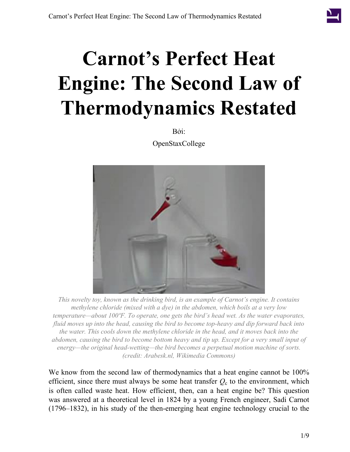Bởi: OpenStaxCollege

<span id="page-0-0"></span>

*This novelty toy, known as the drinking bird, is an example of Carnot's engine. It contains methylene chloride (mixed with a dye) in the abdomen, which boils at a very low temperature—about 100ºF. To operate, one gets the bird's head wet. As the water evaporates, fluid moves up into the head, causing the bird to become top-heavy and dip forward back into the water. This cools down the methylene chloride in the head, and it moves back into the abdomen, causing the bird to become bottom heavy and tip up. Except for a very small input of energy—the original head-wetting—the bird becomes a perpetual motion machine of sorts. (credit: Arabesk.nl, Wikimedia Commons)*

We know from the second law of thermodynamics that a heat engine cannot be 100% efficient, since there must always be some heat transfer  $Q_c$  to the environment, which is often called waste heat. How efficient, then, can a heat engine be? This question was answered at a theoretical level in 1824 by a young French engineer, Sadi Carnot (1796–1832), in his study of the then-emerging heat engine technology crucial to the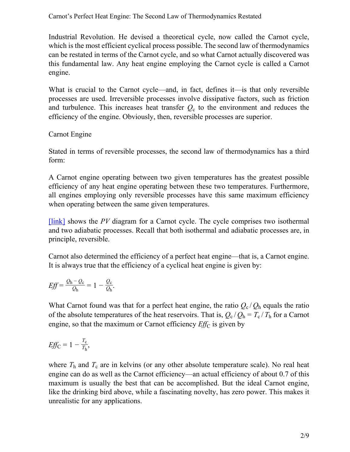Industrial Revolution. He devised a theoretical cycle, now called the Carnot cycle, which is the most efficient cyclical process possible. The second law of thermodynamics can be restated in terms of the Carnot cycle, and so what Carnot actually discovered was this fundamental law. Any heat engine employing the Carnot cycle is called a Carnot engine.

What is crucial to the Carnot cycle—and, in fact, defines it—is that only reversible processes are used. Irreversible processes involve dissipative factors, such as friction and turbulence. This increases heat transfer  $Q_c$  to the environment and reduces the efficiency of the engine. Obviously, then, reversible processes are superior.

## Carnot Engine

Stated in terms of reversible processes, the second law of thermodynamics has a third form:

A Carnot engine operating between two given temperatures has the greatest possible efficiency of any heat engine operating between these two temperatures. Furthermore, all engines employing only reversible processes have this same maximum efficiency when operating between the same given temperatures.

[\[link\]](#page-2-0) shows the *PV* diagram for a Carnot cycle. The cycle comprises two isothermal and two adiabatic processes. Recall that both isothermal and adiabatic processes are, in principle, reversible.

Carnot also determined the efficiency of a perfect heat engine—that is, a Carnot engine. It is always true that the efficiency of a cyclical heat engine is given by:

$$
Eff = \frac{Q_h - Q_c}{Q_h} = 1 - \frac{Q_c}{Q_h}.
$$

What Carnot found was that for a perfect heat engine, the ratio  $Q_c/Q_h$  equals the ratio of the absolute temperatures of the heat reservoirs. That is,  $Q_c/Q_h = T_c/T_h$  for a Carnot engine, so that the maximum or Carnot efficiency  $Eff_C$  is given by

$$
Eff_C = 1 - \frac{T_c}{T_h},
$$

where  $T<sub>h</sub>$  and  $T<sub>c</sub>$  are in kelvins (or any other absolute temperature scale). No real heat engine can do as well as the Carnot efficiency—an actual efficiency of about 0.7 of this maximum is usually the best that can be accomplished. But the ideal Carnot engine, like the drinking bird above, while a fascinating novelty, has zero power. This makes it unrealistic for any applications.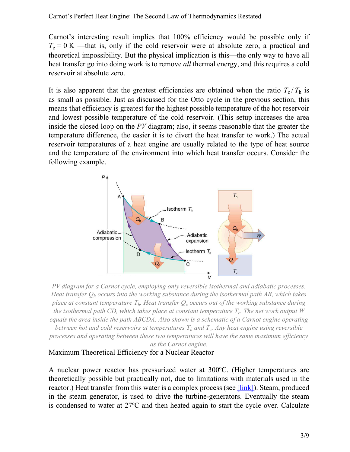Carnot's interesting result implies that 100% efficiency would be possible only if  $T_c = 0$  K —that is, only if the cold reservoir were at absolute zero, a practical and theoretical impossibility. But the physical implication is this—the only way to have all heat transfer go into doing work is to remove *all* thermal energy, and this requires a cold reservoir at absolute zero.

It is also apparent that the greatest efficiencies are obtained when the ratio  $T_c/T_h$  is as small as possible. Just as discussed for the Otto cycle in the previous section, this means that efficiency is greatest for the highest possible temperature of the hot reservoir and lowest possible temperature of the cold reservoir. (This setup increases the area inside the closed loop on the *PV* diagram; also, it seems reasonable that the greater the temperature difference, the easier it is to divert the heat transfer to work.) The actual reservoir temperatures of a heat engine are usually related to the type of heat source and the temperature of the environment into which heat transfer occurs. Consider the following example.

<span id="page-2-0"></span>

*PV diagram for a Carnot cycle, employing only reversible isothermal and adiabatic processes. Heat transfer Q<sup>h</sup> occurs into the working substance during the isothermal path AB, which takes place at constant temperature Th. Heat transfer Q<sup>c</sup> occurs out of the working substance during the isothermal path CD, which takes place at constant temperature T<sup>c</sup> . The net work output W equals the area inside the path ABCDA. Also shown is a schematic of a Carnot engine operating between hot and cold reservoirs at temperatures T<sup>h</sup> and T<sup>c</sup> . Any heat engine using reversible processes and operating between these two temperatures will have the same maximum efficiency as the Carnot engine.*

#### <span id="page-2-1"></span>Maximum Theoretical Efficiency for a Nuclear Reactor

A nuclear power reactor has pressurized water at 300ºC. (Higher temperatures are theoretically possible but practically not, due to limitations with materials used in the reactor.) Heat transfer from this water is a complex process (see *[link]*). Steam, produced in the steam generator, is used to drive the turbine-generators. Eventually the steam is condensed to water at 27ºC and then heated again to start the cycle over. Calculate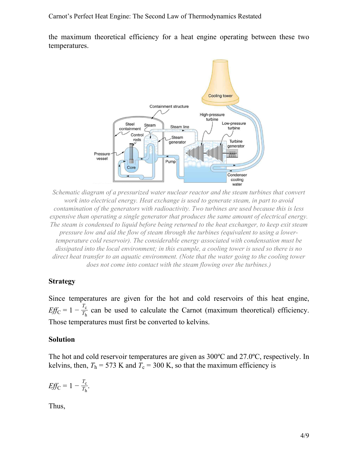<span id="page-3-0"></span>the maximum theoretical efficiency for a heat engine operating between these two temperatures.



*Schematic diagram of a pressurized water nuclear reactor and the steam turbines that convert work into electrical energy. Heat exchange is used to generate steam, in part to avoid contamination of the generators with radioactivity. Two turbines are used because this is less expensive than operating a single generator that produces the same amount of electrical energy. The steam is condensed to liquid before being returned to the heat exchanger, to keep exit steam pressure low and aid the flow of steam through the turbines (equivalent to using a lowertemperature cold reservoir). The considerable energy associated with condensation must be dissipated into the local environment; in this example, a cooling tower is used so there is no direct heat transfer to an aquatic environment. (Note that the water going to the cooling tower does not come into contact with the steam flowing over the turbines.)*

### **Strategy**

Since temperatures are given for the hot and cold reservoirs of this heat engine,  $Eff_C = 1 - \frac{T_c}{T_b}$  $\frac{T_c}{T_h}$  can be used to calculate the Carnot (maximum theoretical) efficiency. Those temperatures must first be converted to kelvins.

### **Solution**

The hot and cold reservoir temperatures are given as 300ºC and 27.0ºC, respectively. In kelvins, then,  $T_h$  = 573 K and  $T_c$  = 300 K, so that the maximum efficiency is

$$
Eff_C = 1 - \frac{T_c}{T_h}.
$$

Thus,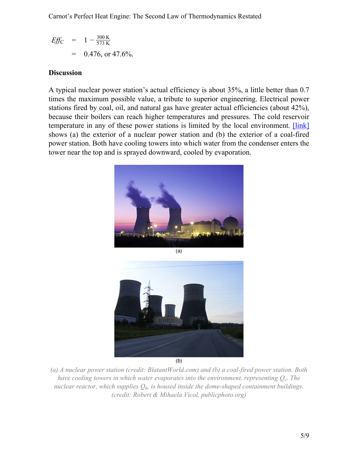$$
Eff_C = 1 - \frac{300 \text{ K}}{573 \text{ K}}
$$
  
= 0.476, or 47.6%.

## **Discussion**

<span id="page-4-0"></span>A typical nuclear power station's actual efficiency is about 35%, a little better than 0.7 times the maximum possible value, a tribute to superior engineering. Electrical power stations fired by coal, oil, and natural gas have greater actual efficiencies (about 42%), because their boilers can reach higher temperatures and pressures. The cold reservoir temperature in any of these power stations is limited by the local environment. [\[link\]](#page-4-0) shows (a) the exterior of a nuclear power station and (b) the exterior of a coal-fired power station. Both have cooling towers into which water from the condenser enters the tower near the top and is sprayed downward, cooled by evaporation.



 $(a)$ 



 $(b)$ 

*(a) A nuclear power station (credit: BlatantWorld.com) and (b) a coal-fired power station. Both have cooling towers in which water evaporates into the environment, representing Q<sup>c</sup> . The nuclear reactor, which supplies Qh, is housed inside the dome-shaped containment buildings. (credit: Robert & Mihaela Vicol, publicphoto.org)*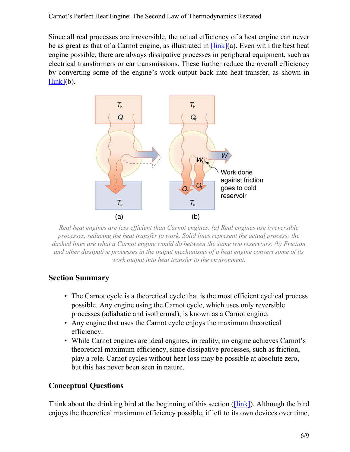<span id="page-5-0"></span>Since all real processes are irreversible, the actual efficiency of a heat engine can never be as great as that of a Carnot engine, as illustrated in  $\frac{\text{link}}{\text{a}}$ . Even with the best heat engine possible, there are always dissipative processes in peripheral equipment, such as electrical transformers or car transmissions. These further reduce the overall efficiency by converting some of the engine's work output back into heat transfer, as shown in  $[link](b)$  $[link](b)$ .



*Real heat engines are less efficient than Carnot engines. (a) Real engines use irreversible processes, reducing the heat transfer to work. Solid lines represent the actual process; the dashed lines are what a Carnot engine would do between the same two reservoirs. (b) Friction and other dissipative processes in the output mechanisms of a heat engine convert some of its work output into heat transfer to the environment.*

# **Section Summary**

- The Carnot cycle is a theoretical cycle that is the most efficient cyclical process possible. Any engine using the Carnot cycle, which uses only reversible processes (adiabatic and isothermal), is known as a Carnot engine.
- Any engine that uses the Carnot cycle enjoys the maximum theoretical efficiency.
- While Carnot engines are ideal engines, in reality, no engine achieves Carnot's theoretical maximum efficiency, since dissipative processes, such as friction, play a role. Carnot cycles without heat loss may be possible at absolute zero, but this has never been seen in nature.

# **Conceptual Questions**

Think about the drinking bird at the beginning of this section (*[link]*). Although the bird enjoys the theoretical maximum efficiency possible, if left to its own devices over time,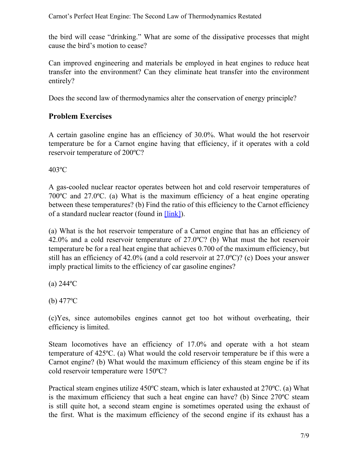the bird will cease "drinking." What are some of the dissipative processes that might cause the bird's motion to cease?

Can improved engineering and materials be employed in heat engines to reduce heat transfer into the environment? Can they eliminate heat transfer into the environment entirely?

Does the second law of thermodynamics alter the conservation of energy principle?

# **Problem Exercises**

A certain gasoline engine has an efficiency of 30.0%. What would the hot reservoir temperature be for a Carnot engine having that efficiency, if it operates with a cold reservoir temperature of 200ºC?

403ºC

A gas-cooled nuclear reactor operates between hot and cold reservoir temperatures of 700ºC and 27.0ºC. (a) What is the maximum efficiency of a heat engine operating between these temperatures? (b) Find the ratio of this efficiency to the Carnot efficiency of a standard nuclear reactor (found in [\[link\]](#page-2-1)).

(a) What is the hot reservoir temperature of a Carnot engine that has an efficiency of 42.0% and a cold reservoir temperature of 27.0ºC? (b) What must the hot reservoir temperature be for a real heat engine that achieves 0.700 of the maximum efficiency, but still has an efficiency of 42.0% (and a cold reservoir at 27.0ºC)? (c) Does your answer imply practical limits to the efficiency of car gasoline engines?

 $(a) 244$ <sup>o</sup>C

(b)  $477^{\circ}$ C

(c)Yes, since automobiles engines cannot get too hot without overheating, their efficiency is limited.

Steam locomotives have an efficiency of 17.0% and operate with a hot steam temperature of 425ºC. (a) What would the cold reservoir temperature be if this were a Carnot engine? (b) What would the maximum efficiency of this steam engine be if its cold reservoir temperature were 150ºC?

Practical steam engines utilize 450ºC steam, which is later exhausted at 270ºC. (a) What is the maximum efficiency that such a heat engine can have? (b) Since 270ºC steam is still quite hot, a second steam engine is sometimes operated using the exhaust of the first. What is the maximum efficiency of the second engine if its exhaust has a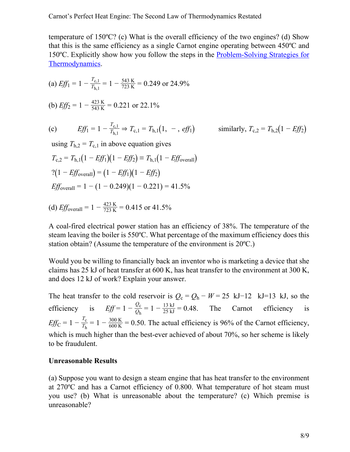temperature of 150ºC? (c) What is the overall efficiency of the two engines? (d) Show that this is the same efficiency as a single Carnot engine operating between 450ºC and 150ºC. Explicitly show how you follow the steps in the [Problem-Solving](/m42236#fs-id1169738116696) Strategies for [Thermodynamics](/m42236#fs-id1169738116696).

(a) 
$$
Eff_1 = 1 - \frac{T_{c,1}}{T_{h,1}} = 1 - \frac{543 \text{ K}}{723 \text{ K}} = 0.249 \text{ or } 24.9\%
$$

(b) 
$$
Eff_2 = 1 - \frac{423 \text{ K}}{543 \text{ K}} = 0.221 \text{ or } 22.1\%
$$

(c) 
$$
Eff_1 = 1 - \frac{T_{c,1}}{T_{h,1}} \Rightarrow T_{c,1} = T_{h,1}(1, -, eff_1)
$$

$$
\Rightarrow
$$
  $T_{c,1} = T_{h,1}(1, -, eff_1)$  similarly,  $T_{c,2} = T_{h,2}(1 - Eff_2)$ 

using  $T_{h,2} = T_{c,1}$  in above equation gives

$$
T_{c,2} = T_{h,1}(1 - Eff_1)(1 - Eff_2) \equiv T_{h,1}(1 - Eff_{\text{overall}})
$$
  
2(1 - Eff\_{\text{overall}}) = (1 - Eff\_1)(1 - Eff\_2)  
Eff\_{\text{overall}} = 1 - (1 - 0.249)(1 - 0.221) = 41.5\%

(d) 
$$
Eff_{\text{overall}} = 1 - \frac{423 \text{ K}}{723 \text{ K}} = 0.415 \text{ or } 41.5\%
$$

A coal-fired electrical power station has an efficiency of 38%. The temperature of the steam leaving the boiler is 550ºC. What percentage of the maximum efficiency does this station obtain? (Assume the temperature of the environment is 20ºC.)

Would you be willing to financially back an inventor who is marketing a device that she claims has 25 kJ of heat transfer at 600 K, has heat transfer to the environment at 300 K, and does 12 kJ of work? Explain your answer.

The heat transfer to the cold reservoir is  $Q_c = Q_h - W = 25$  kJ−12 kJ=13 kJ, so the efficiency is  $Eff = 1 - \frac{Q_c}{Q_c}$  $\frac{Q_c}{Q_h} = 1 - \frac{13 \text{ kJ}}{25 \text{ kJ}} = 0.48.$  The Carnot efficiency is  $Eff_C = 1 - \frac{T_c}{T_b}$  $\frac{T_{\rm c}}{T_{\rm h}} = 1 - \frac{300 \text{ K}}{600 \text{ K}}$  $\frac{300 \text{ K}}{600 \text{ K}}$  = 0.50. The actual efficiency is 96% of the Carnot efficiency, which is much higher than the best-ever achieved of about 70%, so her scheme is likely to be fraudulent.

#### **Unreasonable Results**

(a) Suppose you want to design a steam engine that has heat transfer to the environment at 270ºC and has a Carnot efficiency of 0.800. What temperature of hot steam must you use? (b) What is unreasonable about the temperature? (c) Which premise is unreasonable?